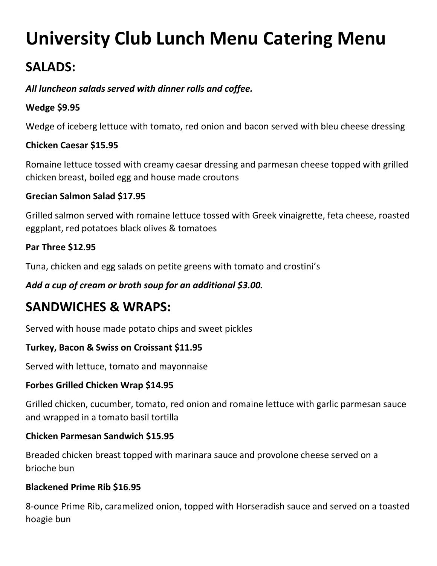# **University Club Lunch Menu Catering Menu**

# **SALADS:**

## *All luncheon salads served with dinner rolls and coffee.*

#### **Wedge \$9.95**

Wedge of iceberg lettuce with tomato, red onion and bacon served with bleu cheese dressing

#### **Chicken Caesar \$15.95**

Romaine lettuce tossed with creamy caesar dressing and parmesan cheese topped with grilled chicken breast, boiled egg and house made croutons

#### **Grecian Salmon Salad \$17.95**

Grilled salmon served with romaine lettuce tossed with Greek vinaigrette, feta cheese, roasted eggplant, red potatoes black olives & tomatoes

#### **Par Three \$12.95**

Tuna, chicken and egg salads on petite greens with tomato and crostini's

*Add a cup of cream or broth soup for an additional \$3.00.* 

# **SANDWICHES & WRAPS:**

Served with house made potato chips and sweet pickles

#### **Turkey, Bacon & Swiss on Croissant \$11.95**

Served with lettuce, tomato and mayonnaise

#### **Forbes Grilled Chicken Wrap \$14.95**

Grilled chicken, cucumber, tomato, red onion and romaine lettuce with garlic parmesan sauce and wrapped in a tomato basil tortilla

#### **Chicken Parmesan Sandwich \$15.95**

Breaded chicken breast topped with marinara sauce and provolone cheese served on a brioche bun

#### **Blackened Prime Rib \$16.95**

8-ounce Prime Rib, caramelized onion, topped with Horseradish sauce and served on a toasted hoagie bun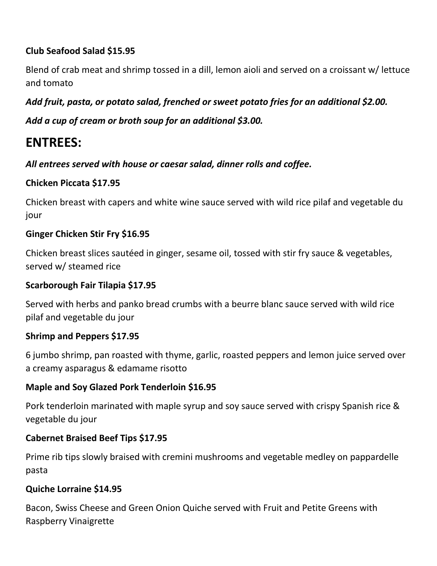# **Club Seafood Salad \$15.95**

Blend of crab meat and shrimp tossed in a dill, lemon aioli and served on a croissant w/ lettuce and tomato

# *Add fruit, pasta, or potato salad, frenched or sweet potato fries for an additional \$2.00.*

*Add a cup of cream or broth soup for an additional \$3.00.* 

# **ENTREES:**

*All entrees served with house or caesar salad, dinner rolls and coffee.* 

## **Chicken Piccata \$17.95**

Chicken breast with capers and white wine sauce served with wild rice pilaf and vegetable du jour

## **Ginger Chicken Stir Fry \$16.95**

Chicken breast slices sautéed in ginger, sesame oil, tossed with stir fry sauce & vegetables, served w/ steamed rice

#### **Scarborough Fair Tilapia \$17.95**

Served with herbs and panko bread crumbs with a beurre blanc sauce served with wild rice pilaf and vegetable du jour

#### **Shrimp and Peppers \$17.95**

6 jumbo shrimp, pan roasted with thyme, garlic, roasted peppers and lemon juice served over a creamy asparagus & edamame risotto

#### **Maple and Soy Glazed Pork Tenderloin \$16.95**

Pork tenderloin marinated with maple syrup and soy sauce served with crispy Spanish rice & vegetable du jour

#### **Cabernet Braised Beef Tips \$17.95**

Prime rib tips slowly braised with cremini mushrooms and vegetable medley on pappardelle pasta

#### **Quiche Lorraine \$14.95**

Bacon, Swiss Cheese and Green Onion Quiche served with Fruit and Petite Greens with Raspberry Vinaigrette